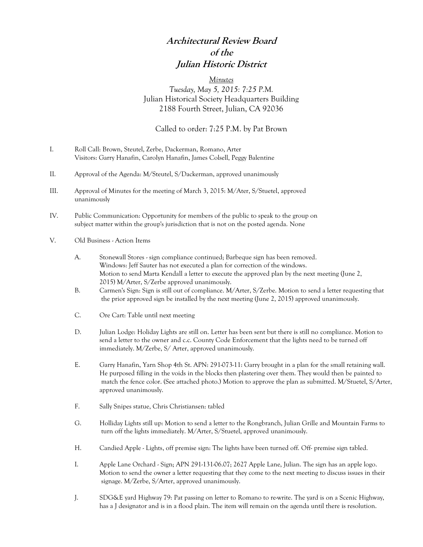## **Architectural Review Board of the Julian Historic District**

#### *Minutes*

### *Tuesday, May 5, 2015: 7:25 P.M.* Julian Historical Society Headquarters Building 2188 Fourth Street, Julian, CA 92036

#### Called to order: 7:25 P.M. by Pat Brown

- I. Roll Call: Brown, Steutel, Zerbe, Dackerman, Romano, Arter Visitors: Garry Hanafin, Carolyn Hanafin, James Colsell, Peggy Balentine
- II. Approval of the Agenda: M/Steutel, S/Dackerman, approved unanimously
- III. Approval of Minutes for the meeting of March 3, 2015: M/Ater, S/Stuetel, approved unanimously
- IV. Public Communication: Opportunity for members of the public to speak to the group on subject matter within the group's jurisdiction that is not on the posted agenda. None
- V. Old Business Action Items
	- A. Stonewall Stores sign compliance continued; Barbeque sign has been removed. Windows: Jeff Sauter has not executed a plan for correction of the windows. Motion to send Marta Kendall a letter to execute the approved plan by the next meeting (June 2, 2015) M/Arter, S/Zerbe approved unanimously.
	- B. Carmen's Sign: Sign is still out of compliance. M/Arter, S/Zerbe. Motion to send a letter requesting that the prior approved sign be installed by the next meeting (June 2, 2015) approved unanimously.
	- C. Ore Cart: Table until next meeting
	- D. Julian Lodge: Holiday Lights are still on. Letter has been sent but there is still no compliance. Motion to send a letter to the owner and c.c. County Code Enforcement that the lights need to be turned off immediately. M/Zerbe, S/ Arter, approved unanimously.
	- E. Garry Hanafin, Yarn Shop 4th St. APN: 291-073-11: Garry brought in a plan for the small retaining wall. He purposed filling in the voids in the blocks then plastering over them. They would then be painted to match the fence color. (See attached photo.) Motion to approve the plan as submitted. M/Stuetel, S/Arter, approved unanimously.
	- F. Sally Snipes statue, Chris Christiansen: tabled
	- G. Holliday Lights still up: Motion to send a letter to the Rongbranch, Julian Grille and Mountain Farms to turn off the lights immediately. M/Arter, S/Stuetel, approved unanimously.
	- H. Candied Apple Lights, off premise sign: The lights have been turned off. Off- premise sign tabled.
	- I. Apple Lane Orchard Sign; APN 291-131-06.07; 2627 Apple Lane, Julian. The sign has an apple logo. Motion to send the owner a letter requesting that they come to the next meeting to discuss issues in their signage. M/Zerbe, S/Arter, approved unanimously.
	- J. SDG&E yard Highway 79: Pat passing on letter to Romano to re-write. The yard is on a Scenic Highway, has a J designator and is in a flood plain. The item will remain on the agenda until there is resolution.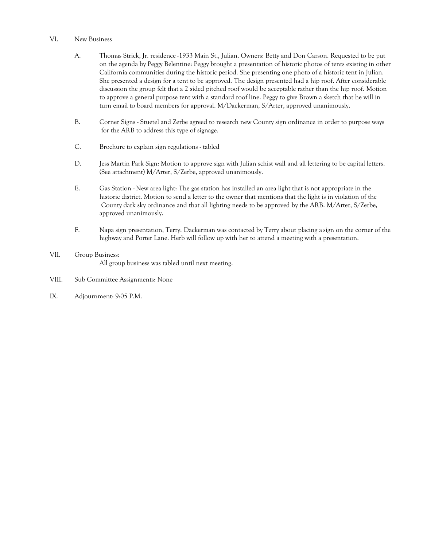#### VI. New Business

- A. Thomas Strick, Jr. residence -1933 Main St., Julian. Owners: Betty and Don Carson. Requested to be put on the agenda by Peggy Belentine: Peggy brought a presentation of historic photos of tents existing in other California communities during the historic period. She presenting one photo of a historic tent in Julian. She presented a design for a tent to be approved. The design presented had a hip roof. After considerable discussion the group felt that a 2 sided pitched roof would be acceptable rather than the hip roof. Motion to approve a general purpose tent with a standard roof line. Peggy to give Brown a sketch that he will in turn email to board members for approval. M/Dackerman, S/Arter, approved unanimously.
- B. Corner Signs Stuetel and Zerbe agreed to research new County sign ordinance in order to purpose ways for the ARB to address this type of signage.
- C. Brochure to explain sign regulations tabled
- D. Jess Martin Park Sign: Motion to approve sign with Julian schist wall and all lettering to be capital letters. (See attachment) M/Arter, S/Zerbe, approved unanimously.
- E. Gas Station New area light: The gas station has installed an area light that is not appropriate in the historic district. Motion to send a letter to the owner that mentions that the light is in violation of the County dark sky ordinance and that all lighting needs to be approved by the ARB. M/Arter, S/Zerbe, approved unanimously.
- F. Napa sign presentation, Terry: Dackerman was contacted by Terry about placing a sign on the corner of the highway and Porter Lane. Herb will follow up with her to attend a meeting with a presentation.
- VII. Group Business: All group business was tabled until next meeting.
- VIII. Sub Committee Assignments: None
- IX. Adjournment: 9:05 P.M.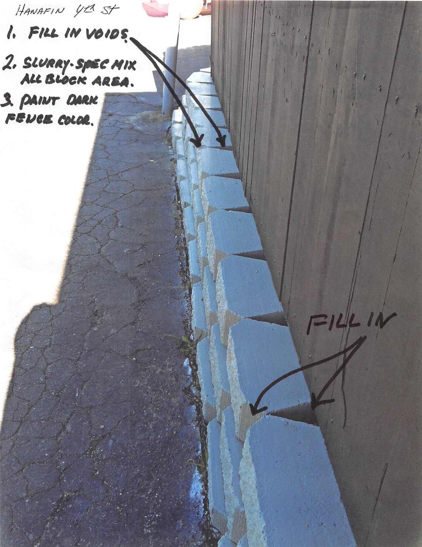HANAFIN YER ST 1. FILL IN VOIDS.

2. SLURRY-SPEC MIX 3. PAINT DARK

14414

FENCE COLOR.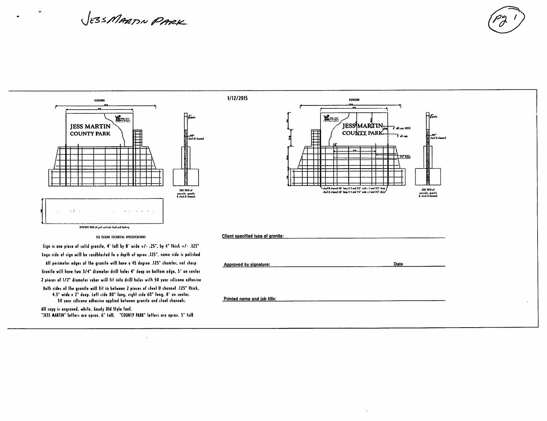# JESSMARTIN PARK